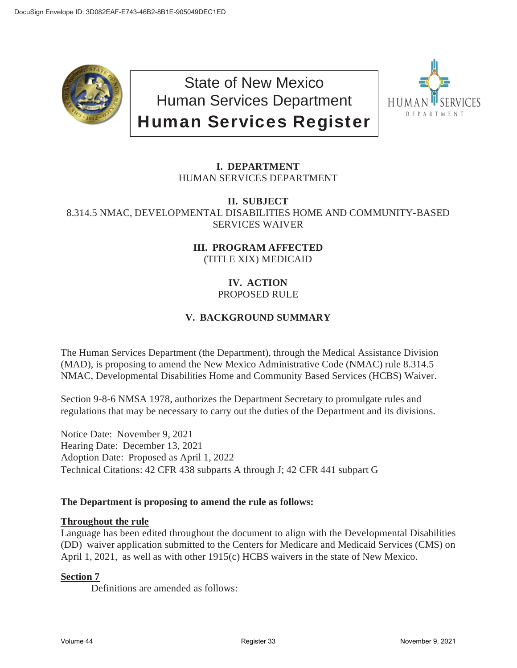

State of New Mexico Human Services Department Human Services Register



# **I. DEPARTMENT** HUMAN SERVICES DEPARTMENT

### **II. SUBJECT** 8.314.5 NMAC, DEVELOPMENTAL DISABILITIES HOME AND COMMUNITY-BASED SERVICES WAIVER

**III. PROGRAM AFFECTED** (TITLE XIX) MEDICAID

## **IV. ACTION** PROPOSED RULE

# **V. BACKGROUND SUMMARY**

The Human Services Department (the Department), through the Medical Assistance Division (MAD), is proposing to amend the New Mexico Administrative Code (NMAC) rule 8.314.5 NMAC, Developmental Disabilities Home and Community Based Services (HCBS) Waiver.

Section 9-8-6 NMSA 1978, authorizes the Department Secretary to promulgate rules and regulations that may be necessary to carry out the duties of the Department and its divisions.

Notice Date: November 9, 2021 Hearing Date: December 13, 2021 Adoption Date: Proposed as April 1, 2022 Technical Citations: 42 CFR 438 subparts A through J; 42 CFR 441 subpart G

## **The Department is proposing to amend the rule as follows:**

## **Throughout the rule**

Language has been edited throughout the document to align with the Developmental Disabilities (DD) waiver application submitted to the Centers for Medicare and Medicaid Services (CMS) on April 1, 2021, as well as with other 1915(c) HCBS waivers in the state of New Mexico.

## **Section 7**

Definitions are amended as follows: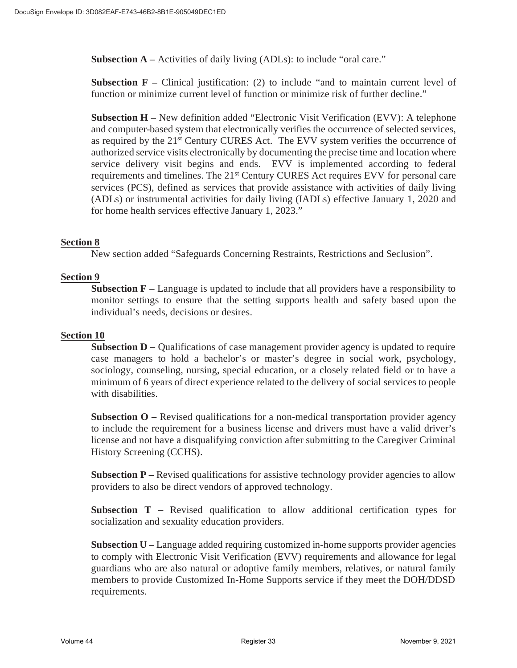**Subsection A** – Activities of daily living (ADLs): to include "oral care."

**Subsection F** – Clinical justification: (2) to include "and to maintain current level of function or minimize current level of function or minimize risk of further decline."

**Subsection H –** New definition added "Electronic Visit Verification (EVV): A telephone and computer-based system that electronically verifies the occurrence of selected services, as required by the 21<sup>st</sup> Century CURES Act. The EVV system verifies the occurrence of authorized service visits electronically by documenting the precise time and location where service delivery visit begins and ends. EVV is implemented according to federal requirements and timelines. The 21st Century CURES Act requires EVV for personal care services (PCS), defined as services that provide assistance with activities of daily living (ADLs) or instrumental activities for daily living (IADLs) effective January 1, 2020 and for home health services effective January 1, 2023."

#### **Section 8**

New section added "Safeguards Concerning Restraints, Restrictions and Seclusion".

#### **Section 9**

**Subsection F –** Language is updated to include that all providers have a responsibility to monitor settings to ensure that the setting supports health and safety based upon the individual's needs, decisions or desires.

#### **Section 10**

**Subsection D –** Qualifications of case management provider agency is updated to require case managers to hold a bachelor's or master's degree in social work, psychology, sociology, counseling, nursing, special education, or a closely related field or to have a minimum of 6 years of direct experience related to the delivery of social services to people with disabilities.

**Subsection O** – Revised qualifications for a non-medical transportation provider agency to include the requirement for a business license and drivers must have a valid driver's license and not have a disqualifying conviction after submitting to the Caregiver Criminal History Screening (CCHS).

**Subsection P** – Revised qualifications for assistive technology provider agencies to allow providers to also be direct vendors of approved technology.

**Subsection T –** Revised qualification to allow additional certification types for socialization and sexuality education providers.

**Subsection U –** Language added requiring customized in-home supports provider agencies to comply with Electronic Visit Verification (EVV) requirements and allowance for legal guardians who are also natural or adoptive family members, relatives, or natural family members to provide Customized In-Home Supports service if they meet the DOH/DDSD requirements.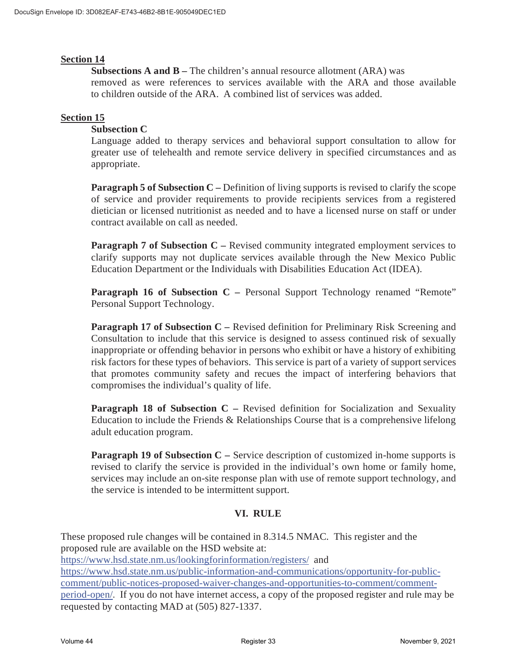#### **Section 14**

**Subsections A and B –** The children's annual resource allotment (ARA) was removed as were references to services available with the ARA and those available to children outside of the ARA. A combined list of services was added.

### **Section 15**

#### **Subsection C**

Language added to therapy services and behavioral support consultation to allow for greater use of telehealth and remote service delivery in specified circumstances and as appropriate.

**Paragraph 5 of Subsection C** – Definition of living supports is revised to clarify the scope of service and provider requirements to provide recipients services from a registered dietician or licensed nutritionist as needed and to have a licensed nurse on staff or under contract available on call as needed.

**Paragraph 7 of Subsection C** – Revised community integrated employment services to clarify supports may not duplicate services available through the New Mexico Public Education Department or the Individuals with Disabilities Education Act (IDEA).

**Paragraph 16 of Subsection C** – Personal Support Technology renamed "Remote" Personal Support Technology.

**Paragraph 17 of Subsection C** – Revised definition for Preliminary Risk Screening and Consultation to include that this service is designed to assess continued risk of sexually inappropriate or offending behavior in persons who exhibit or have a history of exhibiting risk factors for these types of behaviors. This service is part of a variety of support services that promotes community safety and recues the impact of interfering behaviors that compromises the individual's quality of life.

**Paragraph 18 of Subsection C** – Revised definition for Socialization and Sexuality Education to include the Friends  $& Relationships Course that is a comprehensive lifelong$ adult education program.

**Paragraph 19 of Subsection C** – Service description of customized in-home supports is revised to clarify the service is provided in the individual's own home or family home, services may include an on-site response plan with use of remote support technology, and the service is intended to be intermittent support.

## **VI. RULE**

These proposed rule changes will be contained in 8.314.5 NMAC. This register and the proposed rule are available on the HSD website at: https://www.hsd.state.nm.us/lookingforinformation/registers/ and https://www.hsd.state.nm.us/public-information-and-communications/opportunity-for-publiccomment/public-notices-proposed-waiver-changes-and-opportunities-to-comment/commentperiod-open/. If you do not have internet access, a copy of the proposed register and rule may be requested by contacting MAD at (505) 827-1337.